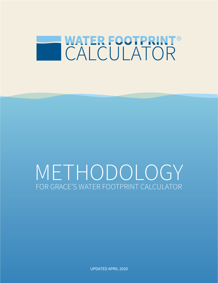

# METHODOLOGY FOR GRACE'S WATER FOOTPRINT CALCULATOR

UPDATED APRIL 2020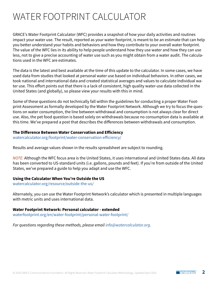## WATER FOOTPRINT CALCULATOR

GRACE's Water Footprint Calculator (WFC) provides a snapshot of how your daily activities and routines impact your water use. The result, reported as your water footprint, is meant to be an estimate that can help you better understand your habits and behaviors and how they contribute to your overall water footprint. The value of the WFC lies in its ability to help people understand how they use water and how they can use less, not to give a precise accounting of water use such as you might obtain from a water audit. The calculations used in the WFC are estimates.

The data is the latest and best available at the time of this update to the calculator. In some cases, we have used data from studies that looked at personal water use based on individual behaviors. In other cases, we took national and international data and created statistical averages and values to calculate individual water use. This effort points out that there is a lack of consistent, high quality water-use data collected in the United States (and globally), so please view your results with this in mind.

Some of these questions do not technically fall within the guidelines for conducting a proper Water Footprint Assessment as formally developed by the Water Footprint Network. Although we try to focus the questions on water consumption, the line between withdrawal and consumption is not always clear for direct use. Also, the pet food question is based solely on withdrawals because no consumption data is available at this time. We've prepared a post that describes the differences between withdrawals and consumption.

#### **The Difference Between Water Conservation and Efficiency**

[watercalculator.org/footprint/water-conservation-efficiency/](https://www.watercalculator.org/footprint/water-conservation-efficiency/)

Results and average values shown in the results spreadsheet are subject to rounding.

*NOTE:* Although the WFC focus area is the United States, it uses international and United States data. All data has been converted to US-standard units (i.e. gallons, pounds and feet). If you're from outside of the United States, we've prepared a guide to help you adapt and use the WFC.

#### **Using the Calculator When You're Outside the US**

[watercalculator.org/resource/outside-the-us/](https://www.watercalculator.org/resource/outside-the-us/)

Alternately, you can use the Water Footprint Network's calculator which is presented in multiple languages with metric units and uses international data.

#### **Water Footprint Network: Personal calculator - extended**

[waterfootprint.org/en/water-footprint/personal-water-footprint/](https://www.waterfootprint.org/en/water-footprint/personal-water-footprint/)

*For questions regarding these methods, please email [info@watercalculator.org](mailto:info%40watercalculator.org?subject=).*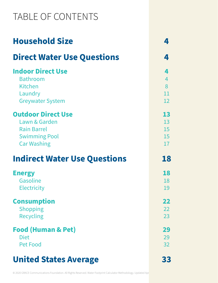## TABLE OF CONTENTS

| <b>Household Size</b>               |                 |
|-------------------------------------|-----------------|
| <b>Direct Water Use Questions</b>   | 4               |
| <b>Indoor Direct Use</b>            | 4               |
| <b>Bathroom</b>                     | $\overline{4}$  |
| <b>Kitchen</b>                      | 8               |
| Laundry                             | 11              |
| <b>Greywater System</b>             | 12              |
| <b>Outdoor Direct Use</b>           | 13              |
| Lawn & Garden                       | 13              |
| <b>Rain Barrel</b>                  | 15              |
| <b>Swimming Pool</b>                | 15              |
| <b>Car Washing</b>                  | 17              |
| <b>Indirect Water Use Questions</b> | 18              |
| <b>Energy</b>                       | 18              |
| Gasoline                            | 18              |
| <b>Electricity</b>                  | 19              |
|                                     |                 |
| <b>Consumption</b>                  | 22              |
| <b>Shopping</b>                     | 22              |
| <b>Recycling</b>                    | 23              |
| <b>Food (Human &amp; Pet)</b>       | 29              |
| <b>Diet</b>                         | 29              |
| Pet Food                            | 32 <sup>2</sup> |
| <b>United States Average</b>        | 33              |
|                                     |                 |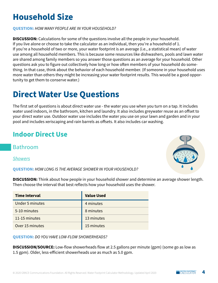## **Household Size**

**QUESTION:** *HOW MANY PEOPLE ARE IN YOUR HOUSEHOLD?*

**DISCUSSION:** Calculations for some of the questions involve all the people in your household. If you live alone or choose to take the calculator as an individual, then you're a household of 1. If you're a household of two or more, your water footprint is an average (i.e., a statistical mean) of water use among all household members. This is because some resources like dishwashers, pools and lawn water are shared among family members so you answer those questions as an average for your household. Other questions ask you to figure out collectively how long or how often members of your household do something. In that case, think about the behavior of each household member. (If someone in your household uses more water than others they might be increasing your water footprint results. This would be a good opportunity to get them to conserve water.)

## <span id="page-3-0"></span>**Direct Water Use Questions**

The first set of questions is about direct water use - the water you use when you turn on a tap. It includes water used indoors, in the bathroom, kitchen and laundry. It also includes greywater reuse as an offset to your direct water use. Outdoor water use includes the water you use on your lawn and garden and in your pool and includes xeriscaping and rain barrels as offsets. It also includes car washing.

## <span id="page-3-1"></span>**Indoor Direct Use**

<span id="page-3-2"></span>[Bathroom](file:)

*Showers*

**QUESTION:** *HOW LONG IS THE AVERAGE SHOWER IN YOUR HOUSEHOLD?*

**DISCUSSION:** Think about how people in your household shower and determine an average shower length. Then choose the interval that best reflects how your household uses the shower.

| <b>Time Interval</b>   | <b>Value Used</b> |
|------------------------|-------------------|
| <b>Under 5 minutes</b> | 4 minutes         |
| 5-10 minutes           | 8 minutes         |
| 11-15 minutes          | 13 minutes        |
| Over 15 minutes        | 15 minutes        |

**QUESTION:** *DO YOU HAVE LOW-FLOW SHOWERHEADS?*

**DISCUSSION/SOURCE:** Low-flow showerheads flow at 2.5 gallons per minute (gpm) (some go as low as 1.5 gpm). Older, less-efficient showerheads use as much as 5.0 gpm.

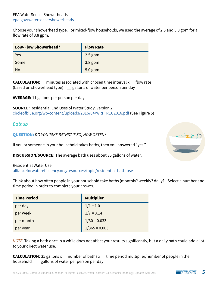#### EPA WaterSense: Showerheads [epa.gov/watersense/showerheads](https://www.epa.gov/watersense/showerheads)

Choose your showerhead type. For mixed-flow households, we used the average of 2.5 and 5.0 gpm for a flow rate of 3.8 gpm.

| <b>Low-Flow Showerhead?</b> | <b>Flow Rate</b> |
|-----------------------------|------------------|
| Yes                         | $2.5$ gpm        |
| Some                        | $3.8$ gpm        |
| <b>No</b>                   | 5.0 gpm          |

**CALCULATION:** \_\_ minutes associated with chosen time interval x \_\_ flow rate (based on showerhead type) =  $\angle$  gallons of water per person per day

**AVERAGE:** 11 gallons per person per day

**SOURCE:** Residential End Uses of Water Study, Version 2 [circleofblue.org/wp-content/uploads/2016/04/WRF\\_REU2016.pdf](https://www.circleofblue.org/wp-content/uploads/2016/04/WRF_REU2016.pdf) (See Figure 5)

#### *Bathub*

**QUESTION:** *DO YOU TAKE BATHS? IF SO, HOW OFTEN?*

If you or someone in your household takes baths, then you answered "yes."

**DISCUSSION/SOURCE:** The average bath uses about 35 gallons of water.

Residential Water Use [allianceforwaterefficiency.org/resources/topic/residential-bath-use](https://www.allianceforwaterefficiency.org/resources/topic/residential-bath-use)

Think about how often people in your household take baths (monthly? weekly? daily?). Select a number and time period in order to complete your answer.

| <b>Time Period</b> | <b>Multiplier</b> |
|--------------------|-------------------|
| per day            | $1/1 = 1.0$       |
| per week           | $1/7 = 0.14$      |
| per month          | $1/30 = 0.033$    |
| per year           | $1/365 = 0.003$   |

*NOTE:* Taking a bath once in a while does not affect your results significantly, but a daily bath could add a lot to your direct water use.

**CALCULATION:** 35 gallons x \_\_ number of baths x \_\_ time period multiplier/number of people in the household  $=$   $\angle$  gallons of water per person per day

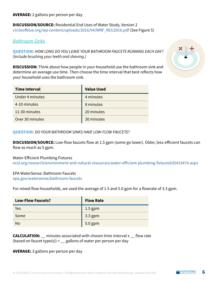**DISCUSSION/SOURCE:** Residential End Uses of Water Study, Version 2 [circleofblue.org/wp-content/uploads/2016/04/WRF\\_REU2016.pdf](https://www.circleofblue.org/wp-content/uploads/2016/04/WRF_REU2016.pdf) (See Figure 5)

#### *Bathroom Sinks*

**QUESTION:** *HOW LONG DO YOU LEAVE YOUR BATHROOM FAUCETS RUNNING EACH DAY? (Include brushing your teeth and shaving.)*

**DISCUSSION:** Think about how people in your household use the bathroom sink and determine an average use time. Then choose the time interval that best reflects how your household uses the bathroom sink.

| <b>Time Interval</b> | <b>Value Used</b> |
|----------------------|-------------------|
| Under 4 minutes      | 4 minutes         |
| 4-10 minutes         | 8 minutes         |
| 11-30 minutes        | 20 minutes        |
| Over 30 minutes      | 30 minutes        |



**DISCUSSION/SOURCE:** Low-flow faucets flow at 1.5 gpm (some go lower). Older, less-efficient faucets can flow as much as 5 gpm.

Water-Efficient Plumbing Fixtures [ncsl.org/research/environment-and-natural-resources/water-efficient-plumbing-fixtures635433474.aspx](https://www.ncsl.org/research/environment-and-natural-resources/water-efficient-plumbing-fixtures635433474.aspx)

#### EPA WaterSense: Bathroom Faucets

[epa.gov/watersense/bathroom-faucets](https://www.epa.gov/watersense/bathroom-faucets)

For mixed flow households, we used the average of 1.5 and 5.0 gpm for a flowrate of 3.3 gpm.

| <b>Low-Flow Faucets?</b> | <b>Flow Rate</b> |
|--------------------------|------------------|
| Yes                      | $1.5$ gpm        |
| Some                     | $3.3$ gpm        |
| <b>No</b>                | 5.0 gpm          |

| <b>CALCULATION:</b> minutes associated with chosen time interval x flow rate |  |
|------------------------------------------------------------------------------|--|
| (based on faucet type(s)) = $\angle$ gallons of water per person per day     |  |

**AVERAGE:** 3 gallons per person per day

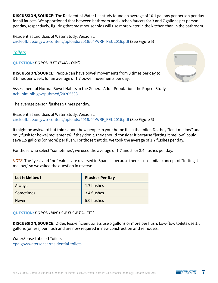**DISCUSSION/SOURCE:** The Residential Water Use study found an average of 10.1 gallons per person per day for all faucets. We apportioned that between bathroom and kitchen faucets for 3 and 7 gallons per person per day, respectively, figuring that most households will use more water in the kitchen than in the bathroom.

Residential End Uses of Water Study, Version 2 [circleofblue.org/wp-content/uploads/2016/04/WRF\\_REU2016.pdf](https://www.circleofblue.org/wp-content/uploads/2016/04/WRF_REU2016.pdf) (See Figure 5)

#### *Toilets*

**QUESTION:** *DO YOU "LET IT MELLOW"?*

**DISCUSSION/SOURCE:** People can have bowel movements from 3 times per day to 3 times per week, for an average of 1.7 bowel movements per day.

Assessment of Normal Bowel Habits in the General Adult Population: the Popcol Study [ncbi.nlm.nih.gov/pubmed/20205503](https://www.ncbi.nlm.nih.gov/pubmed/20205503)

The average person flushes 5 times per day.

Residential End Uses of Water Study, Version 2 [circleofblue.org/wp-content/uploads/2016/04/WRF\\_REU2016.pdf](https://www.circleofblue.org/wp-content/uploads/2016/04/WRF_REU2016.pdf) (See Figure 5)

It might be awkward but think about how people in your home flush the toilet. Do they "let it mellow" and only flush for bowel movements? If they don't, they should consider it because "letting it mellow" could save 1.5 gallons (or more) per flush. For those that do, we took the average of 1.7 flushes per day.

For those who select "sometimes", we used the average of 1.7 and 5, or 3.4 flushes per day.

*NOTE:* The "yes" and "no" values are reversed in Spanish because there is no similar concept of "letting it mellow," so we asked the question in reverse.

| <b>Let It Mellow?</b> | <b>Flushes Per Day</b> |
|-----------------------|------------------------|
| Always                | 1.7 flushes            |
| Sometimes             | 3.4 flushes            |
| <b>Never</b>          | 5.0 flushes            |

**QUESTION:** *DO YOU HAVE LOW-FLOW TOILETS?*

**DISCUSSION/SOURCE:** Older, less-efficient toilets use 5 gallons or more per flush. Low-flow toilets use 1.6 gallons (or less) per flush and are now required in new construction and remodels.

WaterSense Labeled Toilets [epa.gov/watersense/residential-toilets](https://www.epa.gov/watersense/residential-toilets)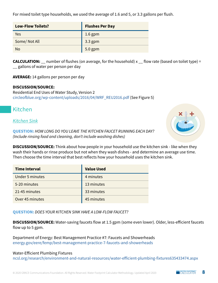**Value Used**

| ZI-40 MUNUTES   | 33 IIIIIIUTES |
|-----------------|---------------|
| Over 45 minutes | 45 minutes    |
|                 |               |

**QUESTION:** *DOES YOUR KITCHEN SINK HAVE A LOW-FLOW FAUCET?*

**DISCUSSION/SOURCE:** Water-saving faucets flow at 1.5 gpm (some even lower). Older, less-efficient faucets flow up to 5 gpm.

Department of Energy: Best Management Practice #7: Faucets and Showerheads [energy.gov/eere/femp/best-management-practice-7-faucets-and-showerheads](https://www.energy.gov/eere/femp/best-management-practice-7-faucets-and-showerheads)

#### Water-Efficient Plumbing Fixtures

[ncsl.org/research/environment-and-natural-resources/water-efficient-plumbing-fixtures635433474.aspx](https://www.ncsl.org/research/environment-and-natural-resources/water-efficient-plumbing-fixtures635433474.aspx)

#### For mixed toilet type households, we used the average of 1.6 and 5, or 3.3 gallons per flush.

| <b>Low-Flow Toilets?</b> | <b>Flushes Per Day</b> |
|--------------------------|------------------------|
| Yes                      | $1.6$ gpm              |
| Some/Not All             | $3.3$ gpm              |
| <b>No</b>                | 5.0 gpm                |

**CALCULATION:** \_\_ number of flushes (on average, for the household) x \_\_ flow rate (based on toilet type) = \_\_ gallons of water per person per day

**AVERAGE:** 14 gallons per person per day

#### **DISCUSSION/SOURCE:**

Residential End Uses of Water Study, Version 2 [circleofblue.org/wp-content/uploads/2016/04/WRF\\_REU2016.pdf](https://www.circleofblue.org/wp-content/uploads/2016/04/WRF_REU2016.pdf) (See Figure 5)

## <span id="page-7-0"></span>Kitchen

#### *Kitchen Sink*

**QUESTION:** *HOW LONG DO YOU LEAVE THE KITCHEN FAUCET RUNNING EACH DAY? (Include rinsing food and cleaning, don't include washing dishes)*

**DISCUSSION/SOURCE:** Think about how people in your household use the kitchen sink - like when they wash their hands or rinse produce but not when they wash dishes - and determine an average use time. Then choose the time interval that best reflects how your household uses the kitchen sink.

| <b>Time Interval</b>   | <b>Value Used</b> |
|------------------------|-------------------|
| <b>Under 5 minutes</b> | 4 minutes         |
| 5-20 minutes           | 13 minutes        |
| 21-45 minutes          | 33 minutes        |
| Over 45 minutes        | 45 minutes        |

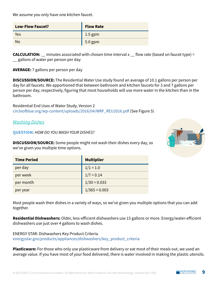We assume you only have one kitchen faucet.

| <b>Low-Flow Faucet?</b> | <b>Flow Rate</b> |
|-------------------------|------------------|
| Yes                     | $1.5$ gpm        |
| <b>No</b>               | 5.0 gpm          |

**CALCULATION:** minutes associated with chosen time interval x  $\frac{1}{2}$  flow rate (based on faucet type) = \_\_ gallons of water per person per day

**AVERAGE:** 7 gallons per person per day

**DISCUSSION/SOURCE:** The Residential Water Use study found an average of 10.1 gallons per person per day for all faucets. We apportioned that between bathroom and kitchen faucets for 3 and 7 gallons per person per day, respectively, figuring that most households will use more water in the kitchen than in the bathroom.

Residential End Uses of Water Study, Version 2 [circleofblue.org/wp-content/uploads/2016/04/WRF\\_REU2016.pdf](https://www.circleofblue.org/wp-content/uploads/2016/04/WRF_REU2016.pdf) (See Figure 5)

*Washing Dishes*

**QUESTION:** *HOW DO YOU WASH YOUR DISHES?*

**DISCUSSION/SOURCE:** Some people might not wash their dishes every day, so we've given you multiple time options.

| <b>Time Period</b> | <b>Multiplier</b> |
|--------------------|-------------------|
| per day            | $1/1 = 1.0$       |
| per week           | $1/7 = 0.14$      |
| per month          | $1/30 = 0.033$    |
| per year           | $1/365 = 0.003$   |

Most people wash their dishes in a variety of ways, so we've given you multiple options that you can add together.

**Residential Dishwashers:** Older, less-efficient dishwashers use 15 gallons or more. Energy/water-efficient dishwashers use just over 4 gallons to wash dishes.

ENERGY STAR: Dishwashers Key Product Criteria [energystar.gov/products/appliances/dishwashers/key\\_product\\_criteria](https://www.energystar.gov/products/appliances/dishwashers/key_product_criteria)

**Plasticware:** For those who only use plasticware from delivery or eat most of their meals out, we used an average value. If you have most of your food delivered, there is water involved in making the plastic utensils.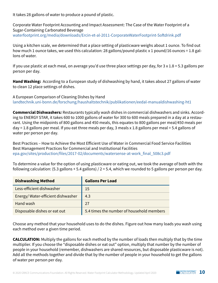It takes 28 gallons of water to produce a pound of plastic.

Corporate Water Footprint Accounting and Impact Assessment: The Case of the Water Footprint of a Sugar-Containing Carbonated Beverage [waterfootprint.org/media/downloads/Ercin-et-al-2011-CorporateWaterFootprint-Softdrink.pdf](https://waterfootprint.org/media/downloads/Ercin-et-al-2011-CorporateWaterFootprint-Softdrink.pdf)

Using a kitchen scale, we determined that a place setting of plasticware weighs about 1 ounce. To find out how much 1 ounce takes, we used this calculation: 28 gallons/pound plastic x 1 pound/16 ounces = 1.8 gallons of water.

If you use plastic at each meal, on average you'd use three place settings per day, for 3 x 1.8 = 5.3 gallons per person per day.

**Hand Washing:** According to a European study of dishwashing by hand, it takes about 27 gallons of water to clean 12 place settings of dishes.

A European Comparison of Cleaning Dishes by Hand [landtechnik.uni-bonn.de/forschung/haushaltstechnik/publikationen/eedal-manualdishwashing-ht1](https://www.landtechnik.uni-bonn.de/forschung/haushaltstechnik/publikationen/eedal-manualdishwashing-ht1)

**Commercial Dishwashers***:* Restaurants typically wash dishes in commercial dishwashers and sinks. According to ENERGY STAR, it takes 600 to 1000 gallons of water for 300 to 600 meals prepared in a day at a restaurant. Using the midpoints of 800 gallons and 450 meals, this equates to 800 gallons per meal/450 meals per day = 1.8 gallons per meal. If you eat three meals per day, 3 meals x 1.8 gallons per meal = 5.4 gallons of water per person per day.

Best Practices – How to Achieve the Most Efficient Use of Water in Commercial Food Service Facilities Best Management Practices for Commercial and Institutional Facilities [epa.gov/sites/production/files/2017-02/documents/watersense-at-work\\_final\\_508c3.pdf](https://www.epa.gov/sites/production/files/2017-02/documents/watersense-at-work_final_508c3.pdf)

To determine a value for the option of using plasticware or eating out, we took the average of both with the following calculation: (5.3 gallons + 5.4 gallons) / 2 = 5.4, which we rounded to 5 gallons per person per day.

| <b>Dishwashing Method</b>         | <b>Gallons Per Load</b>                   |
|-----------------------------------|-------------------------------------------|
| Less-efficient dishwasher         | 15                                        |
| Energy/Water-efficient dishwasher | 4.3                                       |
| Hand wash                         | 27                                        |
| Disposable dishes or eat out      | 5.4 times the number of household members |

Choose any method that your household uses to do the dishes. Figure out how many loads you wash using each method over a given time period.

**CALCULATION:** Multiply the gallons for each method by the number of loads then multiply that by the time multiplier. If you choose the "disposable dishes or eat out" option, multiply that number by the number of people in your household (remember, dishwashers are shared resources, but disposable plasticware is not). Add all the methods together and divide that by the number of people in your household to get the gallons of water per person per day.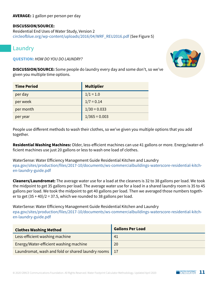#### **AVERAGE:** 1 gallon per person per day

#### **DISCUSSION/SOURCE:**

Residential End Uses of Water Study, Version 2 [circleofblue.org/wp-content/uploads/2016/04/WRF\\_REU2016.pdf](https://www.circleofblue.org/wp-content/uploads/2016/04/WRF_REU2016.pdf) (See Figure 5)

### <span id="page-10-0"></span>Laundry

**QUESTION:** *HOW DO YOU DO LAUNDRY?*

**DISCUSSION/SOURCE:** Some people do laundry every day and some don't, so we've given you multiple time options.

| <b>Time Period</b> | <b>Multiplier</b> |
|--------------------|-------------------|
| per day            | $1/1 = 1.0$       |
| per week           | $1/7 = 0.14$      |
| per month          | $1/30 = 0.033$    |
| per year           | $1/365 = 0.003$   |

People use different methods to wash their clothes, so we've given you multiple options that you add together.

**Residential Washing Machines:** Older, less-efficient machines can use 41 gallons or more. Energy/water-efficient machines use just 20 gallons or less to wash one load of clothes.

WaterSense: Water Efficiency Management Guide Residential Kitchen and Laundry [epa.gov/sites/production/files/2017-10/documents/ws-commercialbuildings-waterscore-residential-kitch](https://www.epa.gov/sites/production/files/2017-10/documents/ws-commercialbuildings-waterscore-residential-kitchen-laundry-guide.pdf)[en-laundry-guide.pdf](https://www.epa.gov/sites/production/files/2017-10/documents/ws-commercialbuildings-waterscore-residential-kitchen-laundry-guide.pdf)

**Cleaners/Laundromat:** The average water use for a load at the cleaners is 32 to 38 gallons per load. We took the midpoint to get 35 gallons per load. The average water use for a load in a shared laundry room is 35 to 45 gallons per load. We took the midpoint to get 40 gallons per load. Then we averaged those numbers together to get  $(35 + 40)/2 = 37.5$ , which we rounded to 38 gallons per load.

WaterSense: Water Efficiency Management Guide Residential Kitchen and Laundry [epa.gov/sites/production/files/2017-10/documents/ws-commercialbuildings-waterscore-residential-kitch](https://www.epa.gov/sites/production/files/2017-10/documents/ws-commercialbuildings-waterscore-residential-kitchen-laundry-guide.pdf)[en-laundry-guide.pdf](https://www.epa.gov/sites/production/files/2017-10/documents/ws-commercialbuildings-waterscore-residential-kitchen-laundry-guide.pdf)

| <b>Clothes Washing Method</b>                          | <b>Gallons Per Load</b> |
|--------------------------------------------------------|-------------------------|
| Less-efficient washing machine                         | 41                      |
| Energy/Water-efficient washing machine                 | 20                      |
| Laundromat, wash and fold or shared laundry rooms   17 |                         |

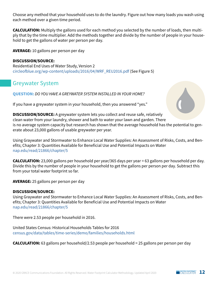Choose any method that your household uses to do the laundry. Figure out how many loads you wash using each method over a given time period.

**CALCULATION:** Multiply the gallons used for each method you selected by the number of loads, then multiply that by the time multiplier. Add the methods together and divide by the number of people in your household to get the gallons of water per person per day.

**AVERAGE:** 10 gallons per person per day

#### **DISCUSSION/SOURCE:**

Residential End Uses of Water Study, Version 2 [circleofblue.org/wp-content/uploads/2016/04/WRF\\_REU2016.pdf](https://www.circleofblue.org/wp-content/uploads/2016/04/WRF_REU2016.pdf) (See Figure 5)

### <span id="page-11-0"></span>Greywater System

**QUESTION:** *DO YOU HAVE A GREYWATER SYSTEM INSTALLED IN YOUR HOME?* 

If you have a greywater system in your household, then you answered "yes."



**DISCUSSION/SOURCE:** A greywater system lets you collect and reuse safe, relatively clean water from your laundry, shower and bath to water your lawn and garden. There is no average system capacity but research has shown that the average household has the potential to generate about 23,000 gallons of usable greywater per year.

Using Graywater and Stormwater to Enhance Local Water Supplies: An Assessment of Risks, Costs, and Benefits; Chapter 3: Quantities Available for Beneficial Use and Potential Impacts on Water [nap.edu/read/21866/chapter/5](https://www.nap.edu/read/21866/chapter/5)

**CALCULATION:** 23,000 gallons per household per year/365 days per year = 63 gallons per household per day. Divide this by the number of people in your household to get the gallons per person per day. Subtract this from your total water footprint so far.

**AVERAGE:** 25 gallons per person per day

#### **DISCUSSION/SOURCE:**

Using Graywater and Stormwater to Enhance Local Water Supplies: An Assessment of Risks, Costs, and Benefits; Chapter 3: Quantities Available for Beneficial Use and Potential Impacts on Water [nap.edu/read/21866/chapter/5](https://www.nap.edu/read/21866/chapter/5)

There were 2.53 people per household in 2016.

United States Census: Historical Households Tables for 2016 [census.gov/data/tables/time-series/demo/families/households.html](https://www.census.gov/data/tables/time-series/demo/families/households.html)

**CALCULATION:** 63 gallons per household/2.53 people per household = 25 gallons per person per day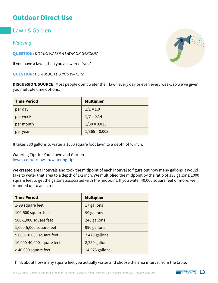## <span id="page-12-0"></span>**Outdoor Direct Use**

<span id="page-12-1"></span>Lawn & Garden

#### *Watering*

**QUESTION:** *DO YOU WATER A LAWN OR GARDEN?* 

If you have a lawn, then you answered "yes."

**QUESTION:** *HOW MUCH DO YOU WATER?*

**DISCUSSION/SOURCE:** Most people don't water their lawn every day or even every week, so we've given you multiple time options.

| <b>Time Period</b> | <b>Multiplier</b> |
|--------------------|-------------------|
| per day            | $1/1 = 1.0$       |
| per week           | $1/7 = 0.14$      |
| per month          | $1/30 = 0.033$    |
| per year           | $1/365 = 0.003$   |

It takes 330 gallons to water a 1000 square foot lawn to a depth of ½ inch.

#### Watering Tips for Your Lawn and Garden [lowes.com/n/how-to/watering-tips](https://www.lowes.com/n/how-to/watering-tips)

We created area intervals and took the midpoint of each interval to figure out how many gallons it would take to water that area to a depth of 1/2 inch. We multiplied the midpoint by the ratio of 333 gallons/1000 square feet to get the gallons associated with the midpoint. If you water 40,000 square feet or more, we rounded up to an acre.

| <b>Time Period</b>        | <b>Multiplier</b> |
|---------------------------|-------------------|
| 1-99 square feet          | 17 gallons        |
| 100-500 square feet       | 99 gallons        |
| 500-1,000 square feet     | 248 gallons       |
| 1,000-5,000 square feet   | 990 gallons       |
| 5,000-10,000 square feet  | 2,470 gallons     |
| 10,000-40,000 square feet | 8,250 gallons     |
| > 40,000 square feet      | 14,375 gallons    |

Think about how many square feet you actually water and choose the area interval from the table.

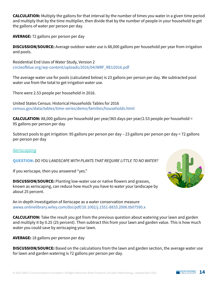**CALCULATION:** Multiply the gallons for that interval by the number of times you water in a given time period and multiply that by the time multiplier, then divide that by the number of people in your household to get the gallons of water per person per day.

**AVERAGE:** 72 gallons per person per day

**DISCUSSION/SOURCE:** Average outdoor water use is 88,000 gallons per household per year from irrigation and pools.

Residential End Uses of Water Study, Version 2 [circleofblue.org/wp-content/uploads/2016/04/WRF\\_REU2016.pdf](https://www.circleofblue.org/wp-content/uploads/2016/04/WRF_REU2016.pdf)

The average water use for pools (calculated below) is 23 gallons per person per day. We subtracted pool water use from the total to get irrigation water use.

There were 2.53 people per household in 2016.

United States Census: Historical Households Tables for 2016 [census.gov/data/tables/time-series/demo/families/households.html](https://www.census.gov/data/tables/time-series/demo/families/households.html)

**CALCULATION:** 88,000 gallons per household per year/365 days per year/2.53 people per household = 95 gallons per person per day

Subtract pools to get irrigation: 95 gallons per person per day – 23 gallons per person per day = 72 gallons per person per day

*Xeriscaping*

**QUESTION:** *DO YOU LANDSCAPE WITH PLANTS THAT REQUIRE LITTLE TO NO WATER?*

If you xeriscape, then you answered "yes."

**DISCUSSION/SOURCE:** Planting low-water use or native flowers and grasses, known as xeriscaping, can reduce how much you have to water your landscape by about 25 percent.

An in-depth investigation of Xeriscape as a water conservation measure [awwa.onlinelibrary.wiley.com/doi/pdf/10.1002/j.1551-8833.2006.tb07590.x](https://awwa.onlinelibrary.wiley.com/doi/pdf/10.1002/j.1551-8833.2006.tb07590.x)

**CALCULATION:** Take the result you got from the previous question about watering your lawn and garden and multiply it by 0.25 (25 percent). Then subtract this from your lawn and garden value. This is how much water you could save by xeriscaping your lawn.

**AVERAGE:** 18 gallons per person per day

**DISCUSSION/SOURCE:** Based on the calculations from the lawn and garden section, the average water use for lawn and garden watering is 72 gallons per person per day.

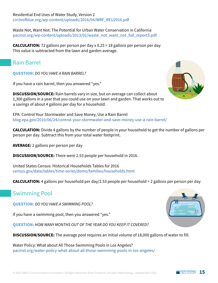Residential End Uses of Water Study, Version 2 [circleofblue.org/wp-content/uploads/2016/04/WRF\\_REU2016.pdf](https://www.circleofblue.org/wp-content/uploads/2016/04/WRF_REU2016.pdf)

Waste Not, Want Not: The Potential for Urban Water Conservation in California [pacinst.org/wp-content/uploads/2013/02/waste\\_not\\_want\\_not\\_full\\_report3.pdf](https://pacinst.org/wp-content/uploads/2013/02/waste_not_want_not_full_report3.pdf)

**CALCULATION:** 72 gallons per person per day x 0.25 = 18 gallons per person per day This value is subtracted from the lawn and garden average.

### <span id="page-14-0"></span>Rain Barrel

**QUESTION:** *DO YOU HAVE A RAIN BARREL?*

If you have a rain barrel, then you answered "yes."

**DISCUSSION/SOURCE:** Rain barrels vary in size, but on average can collect about 1,300 gallons in a year that you could use on your lawn and garden. That works out to a savings of about 4 gallons per day for a household.

EPA: Control Your Stormwater and Save Money, Use a Rain Barrel [blog.epa.gov/2010/06/24/control-your-stormwater-and-save-money-use-a-rain-barrel/](https://blog.epa.gov/2010/06/24/control-your-stormwater-and-save-money-use-a-rain-barrel/)

**CALCULATION:** Divide 4 gallons by the number of people in your household to get the number of gallons per person per day. Subtract this from your total water footprint.

**AVERAGE:** 2 gallons per person per day

**DISCUSSION/SOURCE:** There were 2.53 people per household in 2016.

United States Census: Historical Households Tables for 2016 [census.gov/data/tables/time-series/demo/families/households.html](https://www.census.gov/data/tables/time-series/demo/families/households.html)

**CALCULATION:** 4 gallons per household per day/2.53 people per household = 2 gallons per person per day

## <span id="page-14-1"></span>Swimming Pool

**QUESTION:** *DO YOU HAVE A SWIMMING POOL?*

If you have a swimming pool, then you answered "yes."

**QUESTION:** *HOW MANY MONTHS OUT OF THE YEAR DO YOU KEEP IT COVERED?*

**DISCUSSION/SOURCE:** The average pool requires an initial volume of 18,000 gallons of water to fill.

Water Policy: What about All Those Swimming Pools in Los Angeles? [pacinst.org/water-policy-what-about-all-those-swimming-pools-in-los-angeles/](https://pacinst.org/water-policy-what-about-all-those-swimming-pools-in-los-angeles/)



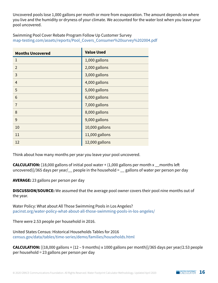Uncovered pools lose 1,000 gallons per month or more from evaporation. The amount depends on where you live and the humidity or dryness of your climate. We accounted for the water lost when you leave your pool uncovered.

Swimming Pool Cover Rebate Program Follow Up Customer Survey [map-testing.com/assets/reports/Pool\\_Covers\\_Consumer%20survey%202004.pdf](https://www.map-testing.com/assets/reports/Pool_Covers_Consumer%20survey%202004.pdf)

| <b>Months Uncovered</b> | <b>Value Used</b> |
|-------------------------|-------------------|
| $\mathbf{1}$            | 1,000 gallons     |
| $\overline{2}$          | 2,000 gallons     |
| 3                       | 3,000 gallons     |
| $\overline{4}$          | 4,000 gallons     |
| 5                       | 5,000 gallons     |
| 6                       | 6,000 gallons     |
| $\overline{7}$          | 7,000 gallons     |
| 8                       | 8,000 gallons     |
| 9                       | 9,000 gallons     |
| 10                      | 10,000 gallons    |
| 11                      | 11,000 gallons    |
| 12                      | 12,000 gallons    |

Think about how many months per year you leave your pool uncovered.

**CALCULATION:** [18,000 gallons of initial pool water + (1,000 gallons per month x \_\_months left uncovered)]/365 days per year/ $\angle$  people in the household =  $\angle$  gallons of water per person per day

**AVERAGE:** 23 gallons per person per day

**DISCUSSION/SOURCE:** We assumed that the average pool owner covers their pool nine months out of the year.

Water Policy: What about All Those Swimming Pools in Los Angeles? [pacinst.org/water-policy-what-about-all-those-swimming-pools-in-los-angeles/](http://pacinst.org/water-policy-what-about-all-those-swimming-pools-in-los-angeles/)

There were 2.53 people per household in 2016.

United States Census: Historical Households Tables for 2016 [census.gov/data/tables/time-series/demo/families/households.html](https://www.census.gov/data/tables/time-series/demo/families/households.html)

**CALCULATION:** [(18,000 gallons + (12 – 9 months) x 1000 gallons per month)]/365 days per year/2.53 people per household = 23 gallons per person per day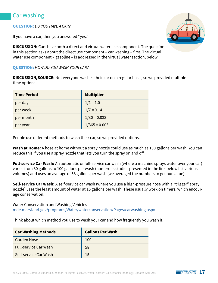## <span id="page-16-0"></span>Car Washing

#### **QUESTION:** *DO YOU HAVE A CAR?*

If you have a car, then you answered "yes."

**DISCUSSION:** Cars have both a direct and virtual water use component. The question in this section asks about the direct use component – car washing – first. The virtual water use component – gasoline – is addressed in the virtual water section, below.

#### **QUESTION:** *HOW DO YOU WASH YOUR CAR?*

**DISCUSSION/SOURCE:** Not everyone washes their car on a regular basis, so we provided multiple time options.

| <b>Time Period</b> | <b>Multiplier</b> |
|--------------------|-------------------|
| per day            | $1/1 = 1.0$       |
| per week           | $1/7 = 0.14$      |
| per month          | $1/30 = 0.033$    |
| per year           | $1/365 = 0.003$   |

People use different methods to wash their car, so we provided options.

**Wash at Home:** A hose at home without a spray nozzle could use as much as 100 gallons per wash. You can reduce this if you use a spray nozzle that lets you turn the spray on and off.

**Full-service Car Wash:** An automatic or full-service car wash (where a machine sprays water over your car) varies from 30 gallons to 100 gallons per wash (numerous studies presented in the link below list various volumes) and uses an average of 58 gallons per wash (we averaged the numbers to get our value).

**Self-service Car Wash:** A self-service car wash (where you use a high-pressure hose with a "trigger" spray nozzle) uses the least amount of water at 15 gallons per wash. These usually work on timers, which encourage conservation.

Water Conservation and Washing Vehicles [mde.maryland.gov/programs/Water/waterconservation/Pages/carwashing.aspx](https://mde.maryland.gov/programs/Water/waterconservation/Pages/carwashing.aspx)

Think about which method you use to wash your car and how frequently you wash it.

| <b>Car Washing Methods</b>   | <b>Gallons Per Wash</b> |
|------------------------------|-------------------------|
| <b>Garden Hose</b>           | 100                     |
| <b>Full-service Car Wash</b> | 58                      |
| Self-service Car Wash        | 15                      |

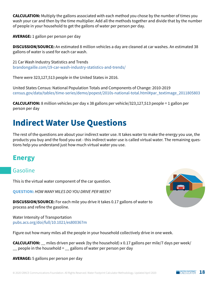**CALCULATION:** Multiply the gallons associated with each method you chose by the number of times you wash your car and then by the time multiplier. Add all the methods together and divide that by the number of people in your household to get the gallons of water per person per day.

**AVERAGE:** 1 gallon per person per day

**DISCUSSION/SOURCE:** An estimated 8 million vehicles a day are cleaned at car washes. An estimated 38 gallons of water is used for each car wash.

21 Car Wash Industry Statistics and Trends [brandongaille.com/19-car-wash-industry-statistics-and-trends/](https://brandongaille.com/19-car-wash-industry-statistics-and-trends/)

There were 323,127,513 people in the United States in 2016.

United States Census: National Population Totals and Components of Change: 2010-2019 [census.gov/data/tables/time-series/demo/popest/2010s-national-total.html#par\\_textimage\\_2011805803](https://www.census.gov/data/tables/time-series/demo/popest/2010s-national-total.html#par_textimage_2011805803)

**CALCULATION:** 8 million vehicles per day x 38 gallons per vehicle/323,127,513 people = 1 gallon per person per day

## <span id="page-17-0"></span>**Indirect Water Use Questions**

The rest of the questions are about your indirect water use. It takes water to make the energy you use, the products you buy and the food you eat - this indirect water use is called virtual water. The remaining questions help you understand just how much virtual water you use.

## <span id="page-17-1"></span>**Energy**

### <span id="page-17-2"></span>Gasoline

This is the virtual water component of the car question.

**QUESTION:** *HOW MANY MILES DO YOU DRIVE PER WEEK?*

**DISCUSSION/SOURCE:** For each mile you drive it takes 0.17 gallons of water to process and refine the gasoline.

Water Intensity of Transportation [pubs.acs.org/doi/full/10.1021/es800367m](https://pubs.acs.org/doi/full/10.1021/es800367m) 

Figure out how many miles all the people in your household collectively drive in one week.

**CALCULATION:** \_\_ miles driven per week (by the household) x 0.17 gallons per mile/7 days per week/  $\angle$  people in the household =  $\angle$  gallons of water per person per day

**AVERAGE:** 5 gallons per person per day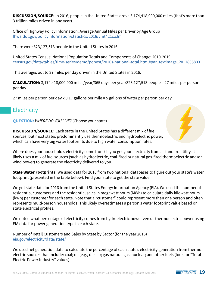**DISCUSSION/SOURCE:** In 2016, people in the United States drove 3,174,418,000,000 miles (that's more than 3 trillion miles driven in one year).

Office of Highway Policy Information: Average Annual Miles per Driver by Age Group [fhwa.dot.gov/policyinformation/statistics/2016/vmt421c.cfm](https://www.fhwa.dot.gov/policyinformation/statistics/2016/vmt421c.cfm)

There were 323,127,513 people in the United States in 2016.

United States Census: National Population Totals and Components of Change: 2010-2019 [census.gov/data/tables/time-series/demo/popest/2010s-national-total.html#par\\_textimage\\_2011805803](https://www.census.gov/data/tables/time-series/demo/popest/2010s-national-total.html#par_textimage_2011805803)

This averages out to 27 miles per day driven in the United States in 2016.

**CALCULATION:** 3,174,418,000,000 miles/year/365 days per year/323,127,513 people = 27 miles per person per day

27 miles per person per day x 0.17 gallons per mile = 5 gallons of water per person per day

### <span id="page-18-0"></span>**Electricity**

**QUESTION:** *WHERE DO YOU LIVE?* (Choose your state)

**DISCUSSION/SOURCE:** Each state in the United States has a different mix of fuel sources, but most states predominantly use thermoelectric and hydroelectric power, which can have very big water footprints due to high water consumption rates.

Where does your household's electricity come from? If you get your electricity from a standard utility, it likely uses a mix of fuel sources (such as hydroelectric, coal-fired or natural gas-fired thermoelectric and/or wind power) to generate the electricity delivered to you.

**State Water Footprints:** We used data for 2016 from two national databases to figure out your state's water footprint (presented in the table below). Find your state to get the state value.

We got state data for 2016 from the United States Energy Information Agency (EIA). We used the number of residential customers and the residential sales in megawatt hours (MWh) to calculate daily kilowatt hours (kWh) per customer for each state. Note that a "customer" could represent more than one person and often represents multi-person households. This likely overestimates a person's water footprint value based on state electrical profiles.

We noted what percentage of electricity comes from hydroelectric power versus thermoelectric power using EIA data for power generation type in each state.

Number of Retail Customers and Sales by State by Sector (for the year 2016) [eia.gov/electricity/data/state/](https://www.eia.gov/electricity/data/state/)

We used net generation data to calculate the percentage of each state's electricity generation from thermoelectric sources that include: coal; oil (e.g., diesel); gas natural gas; nuclear; and other fuels (look for "Total Electric Power Industry" values).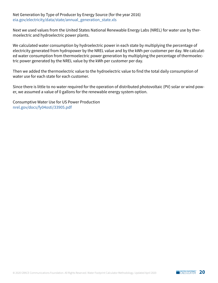#### Net Generation by Type of Producer by Energy Source (for the year 2016) [eia.gov/electricity/data/state/annual\\_generation\\_state.xls](https://www.eia.gov/electricity/data/state/annual_generation_state.xls)

Next we used values from the United States National Renewable Energy Labs (NREL) for water use by thermoelectric and hydroelectric power plants.

We calculated water consumption by hydroelectric power in each state by multiplying the percentage of electricity generated from hydropower by the NREL value and by the kWh per customer per day. We calculated water consumption from thermoelectric power generation by multiplying the percentage of thermoelectric power generated by the NREL value by the kWh per customer per day.

Then we added the thermoelectric value to the hydroelectric value to find the total daily consumption of water use for each state for each customer.

Since there is little to no water required for the operation of distributed photovoltaic (PV) solar or wind power, we assumed a value of 0 gallons for the renewable energy system option.

Consumptive Water Use for US Power Production [nrel.gov/docs/fy04osti/33905.pdf](https://www.nrel.gov/docs/fy04osti/33905.pdf)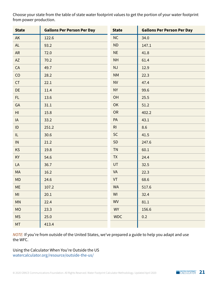Choose your state from the table of state water footprint values to get the portion of your water footprint from power production.

| <b>State</b>                      | <b>Gallons Per Person Per Day</b> | <b>State</b>   | <b>Gallons Per Person Per Day</b> |
|-----------------------------------|-----------------------------------|----------------|-----------------------------------|
| AK                                | 122.6                             | NC             | 34.0                              |
| <b>AL</b>                         | 93.2                              | <b>ND</b>      | 147.1                             |
| <b>AR</b>                         | 72.0                              | <b>NE</b>      | 41.8                              |
| AZ                                | 70.2                              | <b>NH</b>      | 61.4                              |
| CA                                | 49.7                              | <b>NJ</b>      | 12.9                              |
| CO                                | 28.2                              | <b>NM</b>      | 22.3                              |
| CT                                | 22.1                              | <b>NV</b>      | 47.4                              |
| <b>DE</b>                         | 11.4                              | <b>NY</b>      | 99.6                              |
| FL.                               | 13.6                              | OH             | 25.5                              |
| GA                                | 31.1                              | OK             | 51.2                              |
| H <sub>l</sub>                    | 15.8                              | <b>OR</b>      | 402.2                             |
| IA                                | 33.2                              | PA             | 43.1                              |
| ID                                | 251.2                             | R <sub>l</sub> | 8.6                               |
| $\ensuremath{\mathsf{IL}}\xspace$ | 30.6                              | SC             | 41.5                              |
| $\mathsf{IN}$                     | 21.2                              | <b>SD</b>      | 247.6                             |
| <b>KS</b>                         | 19.8                              | <b>TN</b>      | 60.1                              |
| <b>KY</b>                         | 54.6                              | <b>TX</b>      | 24.4                              |
| LA                                | 36.7                              | UT             | 32.5                              |
| MA                                | 16.2                              | <b>VA</b>      | 22.3                              |
| MD                                | 24.6                              | VT             | 68.6                              |
| ME                                | 107.2                             | <b>WA</b>      | 517.6                             |
| MI                                | 20.1                              | WI             | 32.4                              |
| MN                                | 22.4                              | <b>WV</b>      | 81.1                              |
| <b>MO</b>                         | 23.3                              | <b>WY</b>      | 156.6                             |
| <b>MS</b>                         | 25.0                              | <b>WDC</b>     | 0.2                               |
| <b>MT</b>                         | 413.4                             |                |                                   |

*NOTE:* If you're from outside of the United States, we've prepared a guide to help you adapt and use the WFC.

Using the Calculator When You're Outside the US [watercalculator.org/resource/outside-the-us/](https://watercalculator.org/resource/outside-the-us/)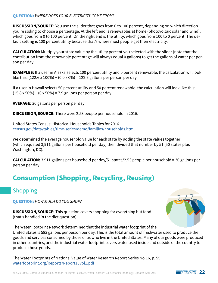#### **QUESTION:** *WHERE DOES YOUR ELECTRICITY COME FROM?*

**DISCUSSION/SOURCE:** You use the slider that goes from 0 to 100 percent, depending on which direction you're sliding to choose a percentage. At the left end is renewables at home (photovoltaic solar and wind), which goes from 0 to 100 percent. On the right end is the utility, which goes from 100 to 0 percent. The default setting is 100 percent utility because that's where most people get their electricity.

**CALCULATION:** Multiply your state value by the utility percent you selected with the slider (note that the contribution from the renewable percentage will always equal 0 gallons) to get the gallons of water per person per day.

**EXAMPLES:** If a user in Alaska selects 100 percent utility and 0 percent renewable, the calculation will look like this:  $(122.6 \times 100\%) + (0.0 \times 0\%) = 122.6$  gallons per person per day.

If a user in Hawaii selects 50 percent utility and 50 percent renewable, the calculation will look like this:  $(15.8 \times 50\%) + (0 \times 50\%) = 7.9$  gallons per person per day.

**AVERAGE:** 30 gallons per person per day

**DISCUSSION/SOURCE:** There were 2.53 people per household in 2016.

United States Census: Historical Households Tables for 2016 [census.gov/data/tables/time-series/demo/families/households.html](https://www.census.gov/data/tables/time-series/demo/families/households.html)

We determined the average household value for each state by adding the state values together (which equaled 3,911 gallons per household per day) then divided that number by 51 (50 states plus Washington, DC).

**CALCULATION:** 3,911 gallons per household per day/51 states/2.53 people per household = 30 gallons per person per day

## <span id="page-21-0"></span>**Consumption (Shopping, Recycling, Reusing)**

### <span id="page-21-1"></span>Shopping

**QUESTION:** *HOW MUCH DO YOU SHOP?*

**DISCUSSION/SOURCE:** This question covers shopping for everything but food (that's handled in the diet question).



The Water Footprint Network determined that the industrial water footprint of the United States is 583 gallons per person per day. This is the total amount of freshwater used to produce the goods and services consumed by those of us who live in the United States. Many of our goods were produced in other countries, and the industrial water footprint covers water used inside and outside of the country to produce those goods.

The Water Footprints of Nations, Value of Water Research Report Series No.16, p. 55 [waterfootprint.org/Reports/Report16Vol1.pdf](https://www.waterfootprint.org/Reports/Report16Vol1.pdf)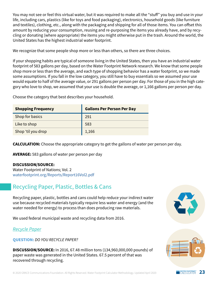You may not see or feel this virtual water, but it was required to make all the "stuff" you buy and use in your life, including cars, plastics (like for toys and food packaging), electronics, household goods (like furniture and textiles), clothing, etc., along with the packaging and shipping for all of those items. You can offset this amount by reducing your consumption, reusing and re-purposing the items you already have, and by recycling or donating (where appropriate) the items you might otherwise put in the trash. Around the world, the United States has the highest industrial water footprint.

We recognize that some people shop more or less than others, so there are three choices.

If your shopping habits are typical of someone living in the United States, then you have an industrial water footprint of 583 gallons per day, based on the Water Footprint Network research. We know that some people shop more or less than the average, and each type of shopping behavior has a water footprint, so we made some assumptions. If you fall in the low category, you still have to buy essentials so we assumed your use would equate to half of the average value, or 291 gallons per person per day. For those of you in the high category who love to shop, we assumed that your use is double the average, or 1,166 gallons per person per day.

Choose the category that best describes your household.

| <b>Shopping Frequency</b> | <b>Gallons Per Person Per Day</b> |
|---------------------------|-----------------------------------|
| Shop for basics           | 291                               |
| Like to shop              | 583                               |
| Shop 'til you drop        | 1,166                             |

**CALCULATION:** Choose the appropriate category to get the gallons of water per person per day.

**AVERAGE:** 583 gallons of water per person per day

#### **DISCUSSION/SOURCE:**

Water Footprint of Nations; Vol. 2 [waterfootprint.org/Reports/Report16Vol2.pdf](https://www.waterfootprint.org/Reports/Report16Vol2.pdf)

## <span id="page-22-0"></span>Recycling Paper, Plastic, Bottles & Cans

Recycling paper, plastic, bottles and cans could help reduce your indirect water use because recycled materials typically require less water and energy (and the water needed for energy) to process than does producing raw materials.

We used federal municipal waste and recycling data from 2016.

#### *Recycle Paper*

**QUESTION:** *DO YOU RECYCLE PAPER?*

**DISCUSSION/SOURCE:** In 2016, 67.48 million tons (134,960,000,000 pounds) of paper waste was generated in the United States. 67.5 percent of that was recovered through recycling.



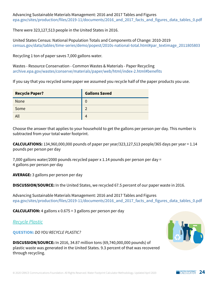Advancing Sustainable Materials Management: 2016 and 2017 Tables and Figures epa.gov/sites/production/files/2019-11/documents/2016\_and\_2017 facts and figures data tables 0.pdf

There were 323,127,513 people in the United States in 2016.

United States Census: National Population Totals and Components of Change: 2010-2019 [census.gov/data/tables/time-series/demo/popest/2010s-national-total.html#par\\_textimage\\_2011805803](https://www.census.gov/data/tables/time-series/demo/popest/2010s-national-total.html#par_textimage_2011805803)

Recycling 1 ton of paper saves 7,000 gallons water.

Wastes - Resource Conservation - Common Wastes & Materials - Paper Recycling [archive.epa.gov/wastes/conserve/materials/paper/web/html/index-2.html#benefits](https://archive.epa.gov/wastes/conserve/materials/paper/web/html/index-2.html#benefits)

If you say that you recycled some paper we assumed you recycle half of the paper products you use.

| <b>Recycle Paper?</b> | <b>Gallons Saved</b> |
|-----------------------|----------------------|
| <b>None</b>           |                      |
| Some                  | ົ                    |
| All                   |                      |

Choose the answer that applies to your household to get the gallons per person per day. This number is subtracted from your total water footprint.

**CALCULATIONS:** 134,960,000,000 pounds of paper per year/323,127,513 people/365 days per year = 1.14 pounds per person per day

7,000 gallons water/2000 pounds recycled paper x 1.14 pounds per person per day = 4 gallons per person per day

**AVERAGE:** 3 gallons per person per day

**DISCUSSION/SOURCE:** In the United States, we recycled 67.5 percent of our paper waste in 2016.

Advancing Sustainable Materials Management: 2016 and 2017 Tables and Figures epa.gov/sites/production/files/2019-11/documents/2016 and 2017 facts and figures data tables 0.pdf

**CALCULATION:** 4 gallons x 0.675 = 3 gallons per person per day

*Recycle Plastic*

**QUESTION:** *DO YOU RECYCLE PLASTIC?*

**DISCUSSION/SOURCE:** In 2016, 34.87 million tons (69,740,000,000 pounds) of plastic waste was generated in the United States. 9.3 percent of that was recovered through recycling.

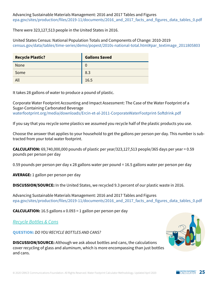There were 323,127,513 people in the United States in 2016.

United States Census: National Population Totals and Components of Change: 2010-2019 [census.gov/data/tables/time-series/demo/popest/2010s-national-total.html#par\\_textimage\\_2011805803](https://www.census.gov/data/tables/time-series/demo/popest/2010s-national-total.html#par_textimage_2011805803)

| <b>Recycle Plastic?</b> | <b>Gallons Saved</b> |
|-------------------------|----------------------|
| <b>None</b>             | 0                    |
| Some                    | 8.3                  |
| All                     | 16.5                 |

It takes 28 gallons of water to produce a pound of plastic.

Corporate Water Footprint Accounting and Impact Assessment: The Case of the Water Footprint of a Sugar-Containing Carbonated Beverage [waterfootprint.org/media/downloads/Ercin-et-al-2011-CorporateWaterFootprint-Softdrink.pdf](https://waterfootprint.org/media/downloads/Ercin-et-al-2011-CorporateWaterFootprint-Softdrink.pdf)

If you say that you recycle some plastics we assumed you recycle half of the plastic products you use.

Choose the answer that applies to your household to get the gallons per person per day. This number is subtracted from your total water footprint.

**CALCULATION:** 69,740,000,000 pounds of plastic per year/323,127,513 people/365 days per year = 0.59 pounds per person per day

0.59 pounds per person per day x 28 gallons water per pound = 16.5 gallons water per person per day

**AVERAGE:** 1 gallon per person per day

**DISCUSSION/SOURCE:** In the United States, we recycled 9.3 percent of our plastic waste in 2016.

Advancing Sustainable Materials Management: 2016 and 2017 Tables and Figures epa.gov/sites/production/files/2019-11/documents/2016 and 2017 facts and figures data tables 0.pdf

**CALCULATION:** 16.5 gallons x 0.093 = 1 gallon per person per day

*Recycle Bottles & Cans*

**QUESTION:** *DO YOU RECYCLE BOTTLES AND CANS?*

**DISCUSSION/SOURCE:** Although we ask about bottles and cans, the calculations cover recycling of glass and aluminum, which is more encompassing than just bottles and cans.

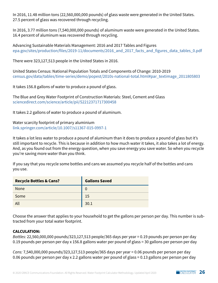In 2016, 11.48 million tons (22,560,000,000 pounds) of glass waste were generated in the United States. 27.5 percent of glass was recovered through recycling.

In 2016, 3.77 million tons (7,540,000,000 pounds) of aluminum waste were generated in the United States. 16.4 percent of aluminum was recovered through recycling.

Advancing Sustainable Materials Management: 2016 and 2017 Tables and Figures [epa.gov/sites/production/files/2019-11/documents/2016\\_and\\_2017\\_facts\\_and\\_figures\\_data\\_tables\\_0.pdf](https://www.epa.gov/sites/production/files/2019-11/documents/2016_and_2017_facts_and_figures_data_tables_0.pdf)

There were 323,127,513 people in the United States in 2016.

United States Census: National Population Totals and Components of Change: 2010-2019 [census.gov/data/tables/time-series/demo/popest/2010s-national-total.html#par\\_textimage\\_2011805803](https://www.census.gov/data/tables/time-series/demo/popest/2010s-national-total.html#par_textimage_2011805803)

It takes 156.8 gallons of water to produce a pound of glass.

The Blue and Grey Water Footprint of Construction Materials: Steel, Cement and Glass [sciencedirect.com/science/article/pii/S2212371717300458](https://www.sciencedirect.com/science/article/pii/S2212371717300458)

It takes 2.2 gallons of water to produce a pound of aluminum.

Water scarcity footprint of primary aluminium [link.springer.com/article/10.1007/s11367-015-0997-1](https://link.springer.com/article/10.1007/s11367-015-0997-1)

It takes a lot less water to produce a pound of aluminum than it does to produce a pound of glass but it's still important to recycle. This is because in addition to how much water it takes, it also takes a lot of energy. And, as you found out from the energy question, when you save energy you save water. So when you recycle you're saving more water than you think.

If you say that you recycle some bottles and cans we assumed you recycle half of the bottles and cans you use.

| <b>Recycle Bottles &amp; Cans?</b> | <b>Gallons Saved</b> |
|------------------------------------|----------------------|
| <b>None</b>                        |                      |
| Some                               | 15                   |
| All                                | 30.1                 |

Choose the answer that applies to your household to get the gallons per person per day. This number is subtracted from your total water footprint.

#### **CALCULATION:**

*Bottles:* 22,560,000,000 pounds/323,127,513 people/365 days per year = 0.19 pounds per person per day 0.19 pounds per person per day x 156.8 gallons water per pound of glass = 30 gallons per person per day

*Cans:* 7,540,000,000 pounds/323,127,513 people/365 days per year = 0.06 pounds per person per day 0.06 pounds per person per day x 2.2 gallons water per pound of glass = 0.13 gallons per person per day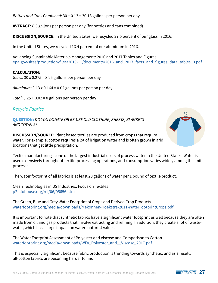*Bottles and Cans Combined:* 30 + 0.13 = 30.13 gallons per person per day

**AVERAGE:** 8.3 gallons per person per day (for bottles and cans combined)

**DISCUSSION/SOURCE:** In the United States, we recycled 27.5 percent of our glass in 2016.

In the United States, we recycled 16.4 percent of our aluminum in 2016.

Advancing Sustainable Materials Management: 2016 and 2017 Tables and Figures epa.gov/sites/production/files/2019-11/documents/2016 and 2017 facts and figures data tables 0.pdf

#### **CALCULATION:**

*Glass:* 30 x 0.275 = 8.25 gallons per person per day

*Aluminum:* 0.13 x 0.164 = 0.02 gallons per person per day

*Total:* 8.25 + 0.02 = 8 gallons per person per day

*Recycle Fabrics*

**QUESTION:** *DO YOU DONATE OR RE-USE OLD CLOTHING, SHEETS, BLANKETS AND TOWELS?*

**DISCUSSION/SOURCE:** Plant based textiles are produced from crops that require water. For example, cotton requires a lot of irrigation water and is often grown in arid locations that get little precipitation.

Textile manufacturing is one of the largest industrial users of process water in the United States. Water is used extensively throughout textile-processing operations, and consumption varies widely among the unit processes.

The water footprint of all fabrics is at least 20 gallons of water per 1 pound of textile product.

Clean Technologies in US Industries: Focus on Textiles [p2infohouse.org/ref/06/05656.htm](https://p2infohouse.org/ref/06/05656.htm)

The Green, Blue and Grey Water Footprint of Crops and Derived Crop Products [waterfootprint.org/media/downloads/Mekonnen-Hoekstra-2011-WaterFootprintCrops.pdf](https://waterfootprint.org/media/downloads/Mekonnen-Hoekstra-2011-WaterFootprintCrops.pdf)

It is important to note that synthetic fabrics have a significant water footprint as well because they are often made from oil and gas products that involve extracting and refining. In addition, they create a lot of wastewater, which has a large impact on water footprint values.

The Water Footprint Assessment of Polyester and Viscose and Comparison to Cotton [waterfootprint.org/media/downloads/WFA\\_Polyester\\_and\\_\\_Viscose\\_2017.pdf](https://waterfootprint.org/media/downloads/WFA_Polyester_and__Viscose_2017.pdf)

This is especially significant because fabric production is trending towards synthetic, and as a result, all-cotton fabrics are becoming harder to find.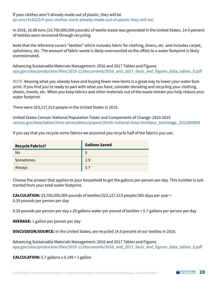#### If your clothes aren't already made out of plastic, they will be [qz.com/414223/if-your-clothes-arent-already-made-out-of-plastic-they-will-be/](https://qz.com/414223/if-your-clothes-arent-already-made-out-of-plastic-they-will-be/)

In 2016, 16.88 tons (33,760,000,000 pounds) of textile waste was generated in the United States. 14.9 percent of textiles were recovered through recycling.

Note that the reference covers "textiles" which includes fabric for clothing, linens, etc. and includes carpet, upholstery, etc. The amount of fabric waste is likely overcounted so the offset to a water footprint is likely overestimated.

Advancing Sustainable Materials Management: 2016 and 2017 Tables and Figures epa.gov/sites/production/files/2019-11/documents/2016 and 2017 facts and figures data tables 0.pdf

*NOTE:* Reusing what you already have and buying fewer new items is a great way to lower your water footprint. If you find you're ready to part with what you have, consider donating and recycling your clothing, sheets, towels, etc. When you keep fabrics and other materials out of the waste stream you help reduce your water footprint.

There were 323,127,513 people in the United States in 2016.

United States Census: National Population Totals and Components of Change: 2010-2019 [census.gov/data/tables/time-series/demo/popest/2010s-national-total.html#par\\_textimage\\_2011805803](https://www.census.gov/data/tables/time-series/demo/popest/2010s-national-total.html#par_textimage_2011805803)

If you say that you recycle some fabrics we assumed you recycle half of the fabrics you use.

| <b>Recycle Fabrics?</b> | <b>Gallons Saved</b> |
|-------------------------|----------------------|
| <b>No</b>               | 0                    |
| Sometimes               | 2.9                  |
| Always                  | 5.7                  |

Choose the answer that applies to your household to get the gallons per person per day. This number is subtracted from your total water footprint.

**CALCULATION:** 33,760,000,000 pounds of textiles/323,127,513 people/365 days per year = 0.29 pounds per person per day

0.29 pounds per person per day x 20 gallons water per pound of textiles = 5.7 gallons per person per day

**AVERAGE:** 1 gallon per person per day

**DISCUSSION/SOURCE:** In the United States, we recycled 14.9 percent of our textiles in 2016.

Advancing Sustainable Materials Management: 2016 and 2017 Tables and Figures epa.gov/sites/production/files/2019-11/documents/2016 and 2017 facts and figures data tables 0.pdf

**CALCULATION:** 5.7 gallons  $\times$  0.149 = 1 gallon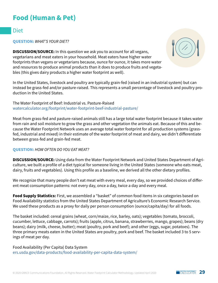## <span id="page-28-0"></span>**Food (Human & Pet)**

#### <span id="page-28-1"></span>Diet

**QUESTION:** *WHAT'S YOUR DIET?*

**DISCUSSION/SOURCE:** In this question we ask you to account for all vegans, vegetarians and meat eaters in your household. Meat eaters have higher water footprints than vegans or vegetarians because, ounce for ounce, it takes more water and resources to produce animal products than it does to produce fruits and vegetables (this gives dairy products a higher water footprint as well).

In the United States, livestock and poultry are typically grain-fed (raised in an industrial system) but can instead be grass-fed and/or pasture-raised. This represents a small percentage of livestock and poultry production in the United States.

The Water Footprint of Beef: Industrial vs. Pasture-Raised [watercalculator.org/footprint/water-footprint-beef-industrial-pasture/](http://watercalculator.org/footprint/water-footprint-beef-industrial-pasture/)

Meat from grass-fed and pasture-raised animals still has a large total water footprint because it takes water from rain and soil moisture to grow the grass and other vegetation the animals eat. Because of this and because the Water Footprint Network uses an average total water footprint for all production systems (grassfed, industrial and mixed) in their estimate of the water footprint of meat and dairy, we didn't differentiate between grass-fed and grain-fed meat.

#### **QUESTION:** *HOW OFTEN DO YOU EAT MEAT?*

**DISCUSSION/SOURCE:** Using data from the Water Footprint Network and United States Department of Agriculture, we built a profile of a diet typical for someone living in the United States (someone who eats meat, dairy, fruits and vegetables). Using this profile as a baseline, we derived all the other dietary profiles.

We recognize that many people don't eat meat with every meal, every day, so we provided choices of different meat consumption patterns: not every day, once a day, twice a day and every meal.

**Food Supply Statistics:** First, we assembled a "basket" of common food items in six categories based on Food Availability statistics from the United States Department of Agriculture's Economic Research Service. We used these products as a proxy for daily per person consumption (ounce/capita/day) for all foods.

The basket included: cereal grains (wheat, corn/maize, rice, barley, oats); vegetables (tomato, broccoli, cucumber, lettuce, cabbage, carrots); fruits (apple, citrus, banana, strawberries, mango, grapes); beans (dry beans); dairy (milk, cheese, butter); meat (poultry, pork and beef); and other (eggs, sugar, potatoes). The three primary meats eaten in the United States are poultry, pork and beef. The basket included 3 to 5 servings of meat per day.

Food Availability (Per Capita) Data System [ers.usda.gov/data-products/food-availability-per-capita-data-system/](https://www.ers.usda.gov/data-products/food-availability-per-capita-data-system/)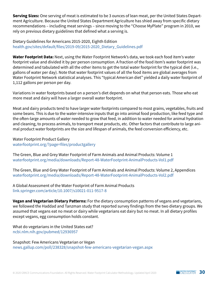**Serving Sizes:** One serving of meat is estimated to be 3 ounces of lean meat, per the United States Department Agriculture. Because the United States Department Agriculture has shied away from specific dietary recommendations – including meat servings – since moving to the "Choose MyPlate" program in 2010, we rely on previous dietary guidelines that defined what a serving is.

Dietary Guidelines for Americans 2015-2020, Eighth Edition [health.gov/sites/default/files/2019-09/2015-2020\\_Dietary\\_Guidelines.pdf](https://health.gov/sites/default/files/2019-09/2015-2020_Dietary_Guidelines.pdf)

**Water Footprint Data:** Next, using the Water Footprint Network's data, we took each food item's water footprint value and divided it by per person consumption. A fraction of the food item's water footprint was determined and tabulated with all the other items to get the total water footprint for the typical diet (i.e., gallons of water per day). Note that water footprint values of all the food items are global averages from Water Footprint Network statistical analyses. This "typical American diet" yielded a daily water footprint of 1,112 gallons per person per day.

Variations in water footprints based on a person's diet depends on what that person eats. Those who eat more meat and dairy will have a larger overall water footprint.

Meat and dairy products tend to have larger water footprints compared to most grains, vegetables, fruits and some beans. This is due to the water-intensive inputs that go into animal food production, like feed type and the often-large amounts of water needed to grow that feed, in addition to water needed for animal hydration and cleaning, to process animals, to transport meat products, etc. Other factors that contribute to large animal product water footprints are the size and lifespan of animals, the feed conversion efficiency, etc.

Water Footprint Product Gallery [waterfootprint.org/?page=files/productgallery](http://www.waterfootprint.org/?page=files/productgallery)

The Green, Blue and Grey Water Footprint of Farm Animals and Animal Products: Volume 1 [waterfootprint.org/media/downloads/Report-48-WaterFootprint-AnimalProducts-Vol1.pdf](https://waterfootprint.org/media/downloads/Report-48-WaterFootprint-AnimalProducts-Vol1.pdf)

The Green, Blue and Grey Water Footprint of Farm Animals and Animal Products: Volume 2, Appendices [waterfootprint.org/media/downloads/Report-48-WaterFootprint-AnimalProducts-Vol2.pdf](https://waterfootprint.org/media/downloads/Report-48-WaterFootprint-AnimalProducts-Vol2.pdf)

A Global Assessment of the Water Footprint of Farm Animal Products [link.springer.com/article/10.1007/s10021-011-9517-8](https://link.springer.com/article/10.1007/s10021-011-9517-8)

**Vegan and Vegetarian Dietary Patterns:** For the dietary consumption patterns of vegans and vegetarians, we followed the Haddad and Tanzman study that reported survey findings from the two dietary groups. We assumed that vegans eat no meat or dairy while vegetarians eat dairy but no meat. In all dietary profiles except vegans, egg consumption holds constant.

What do vegetarians in the United States eat? [ncbi.nlm.nih.gov/pubmed/12936957](https://www.ncbi.nlm.nih.gov/pubmed/12936957)

Snapshot: Few Americans Vegetarian or Vegan [news.gallup.com/poll/238328/snapshot-few-americans-vegetarian-vegan.aspx](https://news.gallup.com/poll/238328/snapshot-few-americans-vegetarian-vegan.aspx)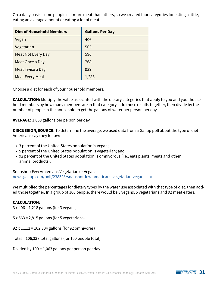On a daily basis, some people eat more meat than others, so we created four categories for eating a little, eating an average amount or eating a lot of meat.

| <b>Diet of Household Members</b> | <b>Gallons Per Day</b> |
|----------------------------------|------------------------|
| Vegan                            | 406                    |
| Vegetarian                       | 563                    |
| Meat Not Every Day               | 596                    |
| Meat Once a Day                  | 768                    |
| Meat Twice a Day                 | 939                    |
| <b>Meat Every Meal</b>           | 1,283                  |

Choose a diet for each of your household members.

**CALCULATION:** Multiply the value associated with the dietary categories that apply to you and your household members by how many members are in that category, add those results together, then divide by the number of people in the household to get the gallons of water per person per day.

**AVERAGE:** 1,063 gallons per person per day

**DISCUSSION/SOURCE:** To determine the average, we used data from a Gallup poll about the type of diet Americans say they follow:

- 3 percent of the United States population is vegan;
- 5 percent of the United States population is vegetarian; and
- 92 percent of the United States population is omnivorous (i.e., eats plants, meats and other animal products).

Snapshot: Few Amiercans Vegetarian or Vegan [news.gallup.com/poll/238328/snapshot-few-americans-vegetarian-vegan.aspx](https://news.gallup.com/poll/238328/snapshot-few-americans-vegetarian-vegan.aspx)

We multiplied the percentages for dietary types by the water use associated with that type of diet, then added those together. In a group of 100 people, there would be 3 vegans, 5 vegetarians and 92 meat eaters.

#### **CALCULATION:**

3 x 406 = 1,218 gallons (for 3 vegans)

- 5 x 563 = 2,815 gallons (for 5 vegetarians)
- 92 x 1,112 = 102,304 gallons (for 92 omnivores)
- Total = 106,337 total gallons (for 100 people total)

Divided by 100 = 1,063 gallons per person per day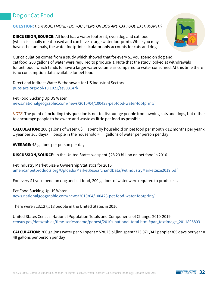## <span id="page-31-0"></span>Dog or Cat Food

#### **QUESTION:** *HOW MUCH MONEY DO YOU SPEND ON DOG AND CAT FOOD EACH MONTH?*

**DISCUSSION/SOURCE:** All food has a water footprint, even dog and cat food (which is usually meat-based and can have a large water footprint). While you may have other animals, the water footprint calculator only accounts for cats and dogs.



Our calculation comes from a study which showed that for every \$1 you spend on dog and cat food, 200 gallons of water were required to produce it. Note that the study looked at withdrawals for pet food , which tends to have a larger water volume as compared to water consumed. At this time there is no consumption data available for pet food.

Direct and Indirect Water Withdrawals for US Industrial Sectors [pubs.acs.org/doi/10.1021/es903147k](https://pubs.acs.org/doi/10.1021/es903147k)

Pet Food Sucking Up US Water [news.nationalgeographic.com/news/2010/04/100423-pet-food-water-footprint/](http://news.nationalgeographic.com/news/2010/04/100423-pet-food-water-footprint/)

*NOTE:* The point of including this question is not to discourage people from owning cats and dogs, but rather to encourage people to be aware and waste as little pet food as possible.

**CALCULATION:** 200 gallons of water X \$\_\_ spent by household on pet food per month x 12 months per year x 1 year per 365 days/\_\_ people in the household = \_\_ gallons of water per person per day

**AVERAGE:** 48 gallons per person per day

**DISCUSSION/SOURCE:** In the United States we spent \$28.23 billion on pet food in 2016.

Pet Industry Market Size & Ownership Statistics for 2016 [americanpetproducts.org/Uploads/MarketResearchandData/PetIndustryMarketSize2019.pdf](https://www.americanpetproducts.org/Uploads/MarketResearchandData/PetIndustryMarketSize2019.pdf)

For every \$1 you spend on dog and cat food, 200 gallons of water were required to produce it.

Pet Food Sucking Up US Water [news.nationalgeographic.com/news/2010/04/100423-pet-food-water-footprint/](http://news.nationalgeographic.com/news/2010/04/100423-pet-food-water-footprint/)

There were 323,127,513 people in the United States in 2016.

United States Census: National Population Totals and Components of Change: 2010-2019 [census.gov/data/tables/time-series/demo/popest/2010s-national-total.html#par\\_textimage\\_2011805803](https://www.census.gov/data/tables/time-series/demo/popest/2010s-national-total.html#par_textimage_2011805803)

**CALCULATION:** 200 gallons water per \$1 spent x \$28.23 billion spent/323,071,342 people/365 days per year = 48 gallons per person per day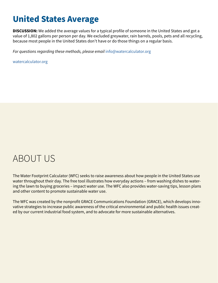## <span id="page-32-0"></span>**United States Average**

**DISCUSSION:** We added the average values for a typical profile of someone in the United States and got a value of 1,802 gallons per person per day. We excluded greywater, rain barrels, pools, pets and all recycling, because most people in the United States don't have or do those things on a regular basis.

*For questions regarding these methods, please email* [info@watercalculator.org](mailto:info%40watercalculator.org?subject=)

[watercalculator.org](https://www.watercalculator.org)

## ABOUT US

The Water Footprint Calculator (WFC) seeks to raise awareness about how people in the United States use water throughout their day. The free tool illustrates how everyday actions – from washing dishes to watering the lawn to buying groceries – impact water use. The WFC also provides water-saving tips, lesson plans and other content to promote sustainable water use.

The WFC was created by the nonprofit GRACE Communications Foundation (GRACE), which develops innovative strategies to increase public awareness of the critical environmental and public health issues created by our current industrial food system, and to advocate for more sustainable alternatives.